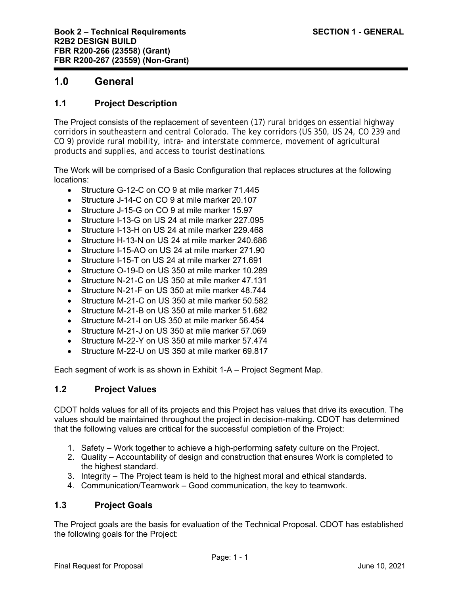# **1.0 General**

# **1.1 Project Description**

The Project consists of the replacement of seventeen (17) rural bridges on essential highway corridors in southeastern and central Colorado. The key corridors (US 350, US 24, CO 239 and CO 9) provide rural mobility, intra- and interstate commerce, movement of agricultural products and supplies, and access to tourist destinations.

The Work will be comprised of a Basic Configuration that replaces structures at the following locations:

- Structure G-12-C on CO 9 at mile marker 71.445
- Structure J-14-C on CO 9 at mile marker 20.107
- Structure J-15-G on CO 9 at mile marker 15.97
- Structure I-13-G on US 24 at mile marker 227.095
- Structure I-13-H on US 24 at mile marker 229.468
- Structure H-13-N on US 24 at mile marker 240.686
- Structure I-15-AO on US 24 at mile marker 271.90
- Structure I-15-T on US 24 at mile marker 271.691
- Structure O-19-D on US 350 at mile marker 10.289
- Structure N-21-C on US 350 at mile marker 47.131
- Structure N-21-F on US 350 at mile marker 48.744
- Structure M-21-C on US 350 at mile marker 50.582
- Structure M-21-B on US 350 at mile marker 51.682
- Structure M-21-I on US 350 at mile marker 56.454
- Structure M-21-J on US 350 at mile marker 57.069
- Structure M-22-Y on US 350 at mile marker 57.474
- Structure M-22-U on US 350 at mile marker 69.817

Each segment of work is as shown in Exhibit 1-A – Project Segment Map.

### **1.2 Project Values**

CDOT holds values for all of its projects and this Project has values that drive its execution. The values should be maintained throughout the project in decision-making. CDOT has determined that the following values are critical for the successful completion of the Project:

- 1. Safety Work together to achieve a high-performing safety culture on the Project.
- 2. Quality Accountability of design and construction that ensures Work is completed to the highest standard.
- 3. Integrity The Project team is held to the highest moral and ethical standards.
- 4. Communication/Teamwork Good communication, the key to teamwork.

# **1.3 Project Goals**

The Project goals are the basis for evaluation of the Technical Proposal. CDOT has established the following goals for the Project: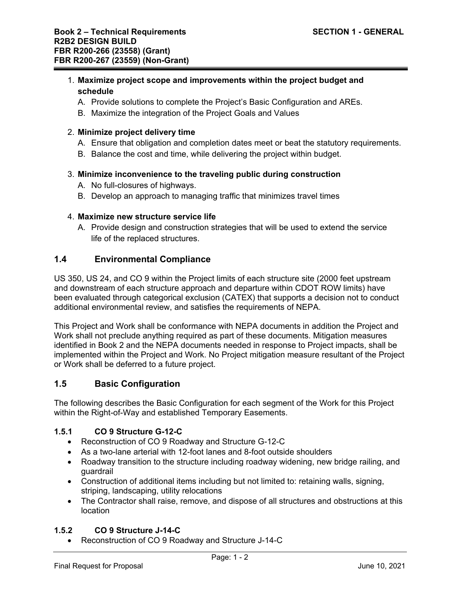### 1. **Maximize project scope and improvements within the project budget and schedule**

- A. Provide solutions to complete the Project's Basic Configuration and AREs.
- B. Maximize the integration of the Project Goals and Values

### 2. **Minimize project delivery time**

- A. Ensure that obligation and completion dates meet or beat the statutory requirements.
- B. Balance the cost and time, while delivering the project within budget.

# 3. **Minimize inconvenience to the traveling public during construction**

- A. No full-closures of highways.
- B. Develop an approach to managing traffic that minimizes travel times

#### 4. **Maximize new structure service life**

A. Provide design and construction strategies that will be used to extend the service life of the replaced structures.

### **1.4 Environmental Compliance**

US 350, US 24, and CO 9 within the Project limits of each structure site (2000 feet upstream and downstream of each structure approach and departure within CDOT ROW limits) have been evaluated through categorical exclusion (CATEX) that supports a decision not to conduct additional environmental review, and satisfies the requirements of NEPA.

This Project and Work shall be conformance with NEPA documents in addition the Project and Work shall not preclude anything required as part of these documents. Mitigation measures identified in Book 2 and the NEPA documents needed in response to Project impacts, shall be implemented within the Project and Work. No Project mitigation measure resultant of the Project or Work shall be deferred to a future project.

# **1.5 Basic Configuration**

The following describes the Basic Configuration for each segment of the Work for this Project within the Right-of-Way and established Temporary Easements.

### **1.5.1 CO 9 Structure G-12-C**

- Reconstruction of CO 9 Roadway and Structure G-12-C
- As a two-lane arterial with 12-foot lanes and 8-foot outside shoulders
- Roadway transition to the structure including roadway widening, new bridge railing, and guardrail
- Construction of additional items including but not limited to: retaining walls, signing, striping, landscaping, utility relocations
- The Contractor shall raise, remove, and dispose of all structures and obstructions at this location

### **1.5.2 CO 9 Structure J-14-C**

Reconstruction of CO 9 Roadway and Structure J-14-C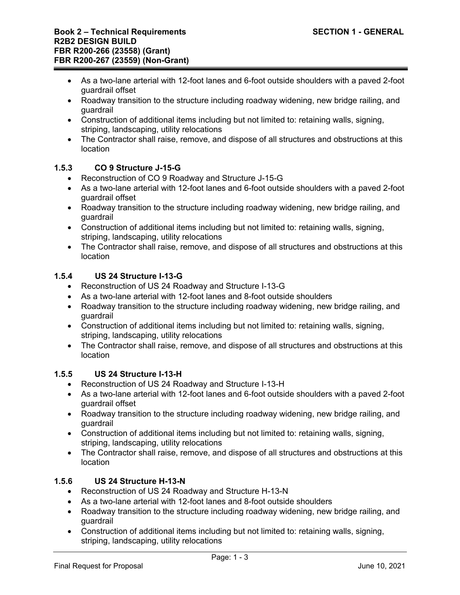- As a two-lane arterial with 12-foot lanes and 6-foot outside shoulders with a paved 2-foot guardrail offset
- Roadway transition to the structure including roadway widening, new bridge railing, and guardrail
- Construction of additional items including but not limited to: retaining walls, signing, striping, landscaping, utility relocations
- The Contractor shall raise, remove, and dispose of all structures and obstructions at this location

# **1.5.3 CO 9 Structure J-15-G**

- Reconstruction of CO 9 Roadway and Structure J-15-G
- As a two-lane arterial with 12-foot lanes and 6-foot outside shoulders with a paved 2-foot guardrail offset
- Roadway transition to the structure including roadway widening, new bridge railing, and guardrail
- Construction of additional items including but not limited to: retaining walls, signing, striping, landscaping, utility relocations
- The Contractor shall raise, remove, and dispose of all structures and obstructions at this location

# **1.5.4 US 24 Structure I-13-G**

- Reconstruction of US 24 Roadway and Structure I-13-G
- As a two-lane arterial with 12-foot lanes and 8-foot outside shoulders
- Roadway transition to the structure including roadway widening, new bridge railing, and guardrail
- Construction of additional items including but not limited to: retaining walls, signing, striping, landscaping, utility relocations
- The Contractor shall raise, remove, and dispose of all structures and obstructions at this location

# **1.5.5 US 24 Structure I-13-H**

- Reconstruction of US 24 Roadway and Structure I-13-H
- As a two-lane arterial with 12-foot lanes and 6-foot outside shoulders with a paved 2-foot guardrail offset
- Roadway transition to the structure including roadway widening, new bridge railing, and guardrail
- Construction of additional items including but not limited to: retaining walls, signing, striping, landscaping, utility relocations
- The Contractor shall raise, remove, and dispose of all structures and obstructions at this location

# **1.5.6 US 24 Structure H-13-N**

- Reconstruction of US 24 Roadway and Structure H-13-N
- As a two-lane arterial with 12-foot lanes and 8-foot outside shoulders
- Roadway transition to the structure including roadway widening, new bridge railing, and guardrail
- Construction of additional items including but not limited to: retaining walls, signing, striping, landscaping, utility relocations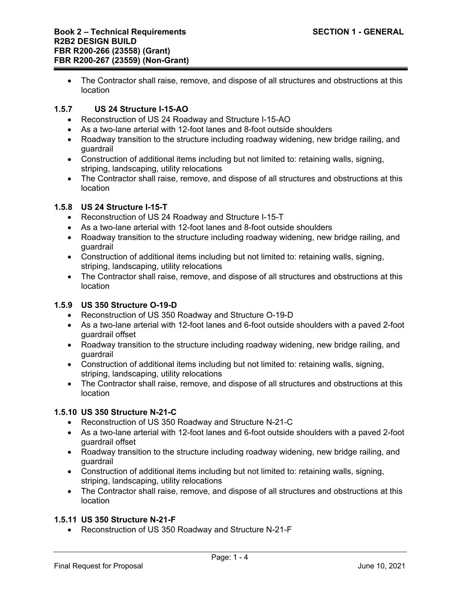The Contractor shall raise, remove, and dispose of all structures and obstructions at this location

## **1.5.7 US 24 Structure I-15-AO**

- Reconstruction of US 24 Roadway and Structure I-15-AO
- As a two-lane arterial with 12-foot lanes and 8-foot outside shoulders
- Roadway transition to the structure including roadway widening, new bridge railing, and guardrail
- Construction of additional items including but not limited to: retaining walls, signing, striping, landscaping, utility relocations
- The Contractor shall raise, remove, and dispose of all structures and obstructions at this location

# **1.5.8 US 24 Structure I-15-T**

- Reconstruction of US 24 Roadway and Structure I-15-T
- As a two-lane arterial with 12-foot lanes and 8-foot outside shoulders
- Roadway transition to the structure including roadway widening, new bridge railing, and guardrail
- Construction of additional items including but not limited to: retaining walls, signing, striping, landscaping, utility relocations
- The Contractor shall raise, remove, and dispose of all structures and obstructions at this location

### **1.5.9 US 350 Structure O-19-D**

- Reconstruction of US 350 Roadway and Structure O-19-D
- As a two-lane arterial with 12-foot lanes and 6-foot outside shoulders with a paved 2-foot guardrail offset
- Roadway transition to the structure including roadway widening, new bridge railing, and guardrail
- Construction of additional items including but not limited to: retaining walls, signing, striping, landscaping, utility relocations
- The Contractor shall raise, remove, and dispose of all structures and obstructions at this location

### **1.5.10 US 350 Structure N-21-C**

- Reconstruction of US 350 Roadway and Structure N-21-C
- As a two-lane arterial with 12-foot lanes and 6-foot outside shoulders with a paved 2-foot guardrail offset
- Roadway transition to the structure including roadway widening, new bridge railing, and guardrail
- Construction of additional items including but not limited to: retaining walls, signing, striping, landscaping, utility relocations
- The Contractor shall raise, remove, and dispose of all structures and obstructions at this location

### **1.5.11 US 350 Structure N-21-F**

Reconstruction of US 350 Roadway and Structure N-21-F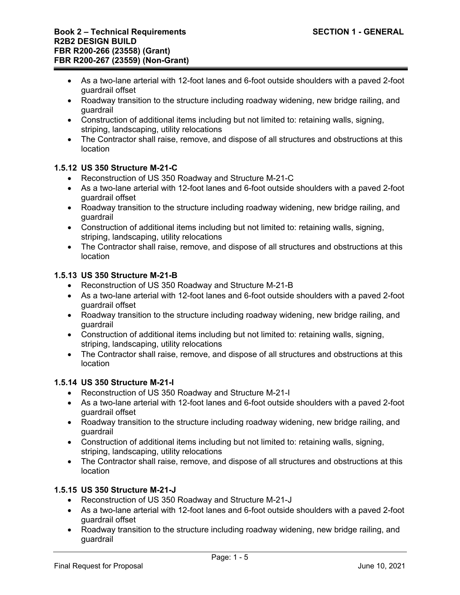- As a two-lane arterial with 12-foot lanes and 6-foot outside shoulders with a paved 2-foot guardrail offset
- Roadway transition to the structure including roadway widening, new bridge railing, and guardrail
- Construction of additional items including but not limited to: retaining walls, signing, striping, landscaping, utility relocations
- The Contractor shall raise, remove, and dispose of all structures and obstructions at this location

# **1.5.12 US 350 Structure M-21-C**

- Reconstruction of US 350 Roadway and Structure M-21-C
- As a two-lane arterial with 12-foot lanes and 6-foot outside shoulders with a paved 2-foot guardrail offset
- Roadway transition to the structure including roadway widening, new bridge railing, and guardrail
- Construction of additional items including but not limited to: retaining walls, signing, striping, landscaping, utility relocations
- The Contractor shall raise, remove, and dispose of all structures and obstructions at this location

# **1.5.13 US 350 Structure M-21-B**

- Reconstruction of US 350 Roadway and Structure M-21-B
- As a two-lane arterial with 12-foot lanes and 6-foot outside shoulders with a paved 2-foot guardrail offset
- Roadway transition to the structure including roadway widening, new bridge railing, and guardrail
- Construction of additional items including but not limited to: retaining walls, signing, striping, landscaping, utility relocations
- The Contractor shall raise, remove, and dispose of all structures and obstructions at this location

# **1.5.14 US 350 Structure M-21-I**

- Reconstruction of US 350 Roadway and Structure M-21-I
- As a two-lane arterial with 12-foot lanes and 6-foot outside shoulders with a paved 2-foot guardrail offset
- Roadway transition to the structure including roadway widening, new bridge railing, and guardrail
- Construction of additional items including but not limited to: retaining walls, signing, striping, landscaping, utility relocations
- The Contractor shall raise, remove, and dispose of all structures and obstructions at this location

# **1.5.15 US 350 Structure M-21-J**

- Reconstruction of US 350 Roadway and Structure M-21-J
- As a two-lane arterial with 12-foot lanes and 6-foot outside shoulders with a paved 2-foot guardrail offset
- Roadway transition to the structure including roadway widening, new bridge railing, and guardrail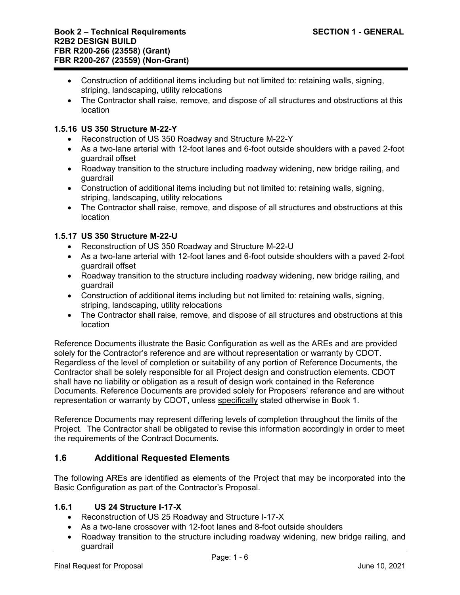- Construction of additional items including but not limited to: retaining walls, signing, striping, landscaping, utility relocations
- The Contractor shall raise, remove, and dispose of all structures and obstructions at this location

## **1.5.16 US 350 Structure M-22-Y**

- Reconstruction of US 350 Roadway and Structure M-22-Y
- As a two-lane arterial with 12-foot lanes and 6-foot outside shoulders with a paved 2-foot guardrail offset
- Roadway transition to the structure including roadway widening, new bridge railing, and guardrail
- Construction of additional items including but not limited to: retaining walls, signing, striping, landscaping, utility relocations
- The Contractor shall raise, remove, and dispose of all structures and obstructions at this location

### **1.5.17 US 350 Structure M-22-U**

- Reconstruction of US 350 Roadway and Structure M-22-U
- As a two-lane arterial with 12-foot lanes and 6-foot outside shoulders with a paved 2-foot guardrail offset
- Roadway transition to the structure including roadway widening, new bridge railing, and guardrail
- Construction of additional items including but not limited to: retaining walls, signing, striping, landscaping, utility relocations
- The Contractor shall raise, remove, and dispose of all structures and obstructions at this location

Reference Documents illustrate the Basic Configuration as well as the AREs and are provided solely for the Contractor's reference and are without representation or warranty by CDOT. Regardless of the level of completion or suitability of any portion of Reference Documents, the Contractor shall be solely responsible for all Project design and construction elements. CDOT shall have no liability or obligation as a result of design work contained in the Reference Documents. Reference Documents are provided solely for Proposers' reference and are without representation or warranty by CDOT, unless specifically stated otherwise in Book 1.

Reference Documents may represent differing levels of completion throughout the limits of the Project. The Contractor shall be obligated to revise this information accordingly in order to meet the requirements of the Contract Documents.

# **1.6 Additional Requested Elements**

The following AREs are identified as elements of the Project that may be incorporated into the Basic Configuration as part of the Contractor's Proposal.

### **1.6.1 US 24 Structure I-17-X**

- Reconstruction of US 25 Roadway and Structure I-17-X
- As a two-lane crossover with 12-foot lanes and 8-foot outside shoulders
- Roadway transition to the structure including roadway widening, new bridge railing, and guardrail